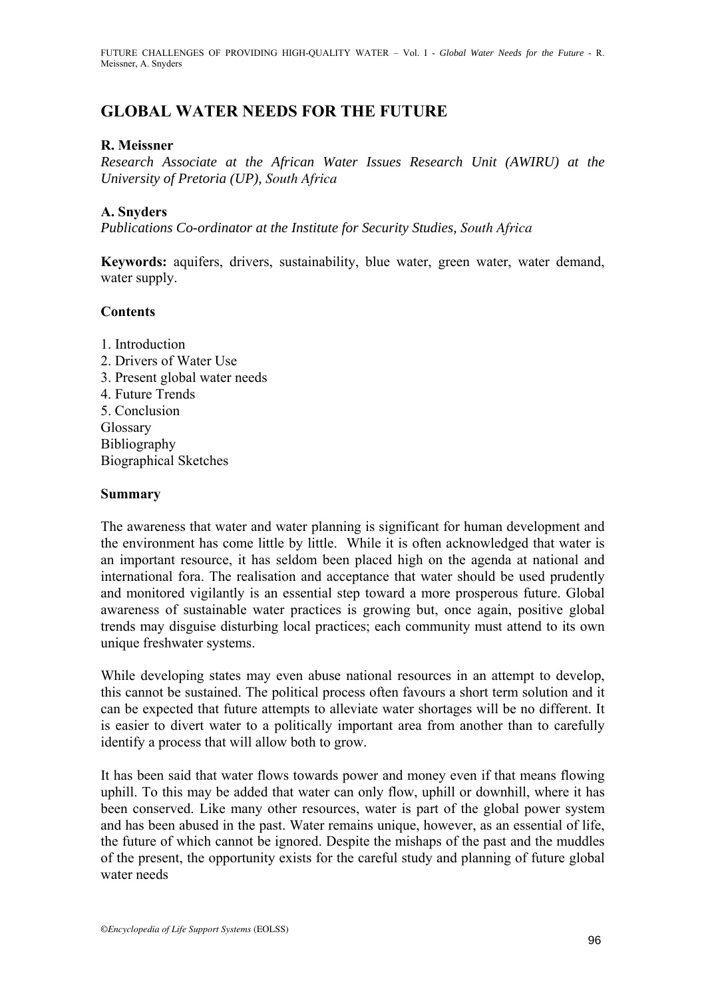# **GLOBAL WATER NEEDS FOR THE FUTURE**

### **R. Meissner**

*Research Associate at the African Water Issues Research Unit (AWIRU) at the University of Pretoria (UP), South Africa*

### **A. Snyders**

*Publications Co-ordinator at the Institute for Security Studies, South Africa*

**Keywords:** aquifers, drivers, sustainability, blue water, green water, water demand, water supply.

#### **Contents**

1. Introduction 2. Drivers of Water Use 3. Present global water needs 4. Future Trends 5. Conclusion Glossary Bibliography Biographical Sketches

#### **Summary**

The awareness that water and water planning is significant for human development and the environment has come little by little. While it is often acknowledged that water is an important resource, it has seldom been placed high on the agenda at national and international fora. The realisation and acceptance that water should be used prudently and monitored vigilantly is an essential step toward a more prosperous future. Global awareness of sustainable water practices is growing but, once again, positive global trends may disguise disturbing local practices; each community must attend to its own unique freshwater systems.

While developing states may even abuse national resources in an attempt to develop, this cannot be sustained. The political process often favours a short term solution and it can be expected that future attempts to alleviate water shortages will be no different. It is easier to divert water to a politically important area from another than to carefully identify a process that will allow both to grow.

It has been said that water flows towards power and money even if that means flowing uphill. To this may be added that water can only flow, uphill or downhill, where it has been conserved. Like many other resources, water is part of the global power system and has been abused in the past. Water remains unique, however, as an essential of life, the future of which cannot be ignored. Despite the mishaps of the past and the muddles of the present, the opportunity exists for the careful study and planning of future global water needs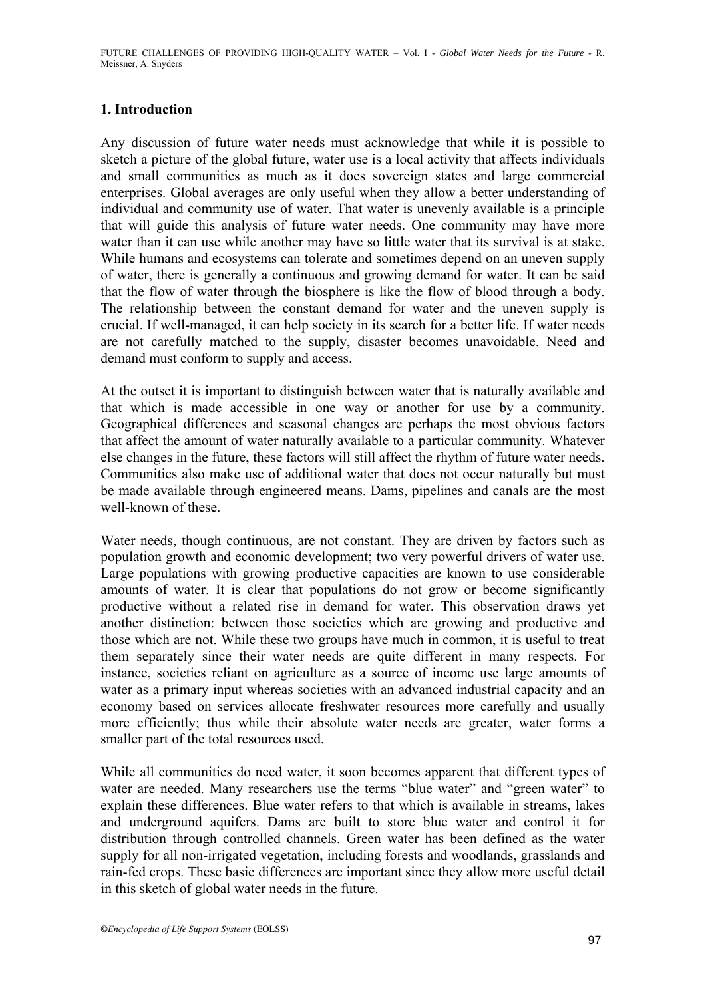# **1. Introduction**

Any discussion of future water needs must acknowledge that while it is possible to sketch a picture of the global future, water use is a local activity that affects individuals and small communities as much as it does sovereign states and large commercial enterprises. Global averages are only useful when they allow a better understanding of individual and community use of water. That water is unevenly available is a principle that will guide this analysis of future water needs. One community may have more water than it can use while another may have so little water that its survival is at stake. While humans and ecosystems can tolerate and sometimes depend on an uneven supply of water, there is generally a continuous and growing demand for water. It can be said that the flow of water through the biosphere is like the flow of blood through a body. The relationship between the constant demand for water and the uneven supply is crucial. If well-managed, it can help society in its search for a better life. If water needs are not carefully matched to the supply, disaster becomes unavoidable. Need and demand must conform to supply and access.

At the outset it is important to distinguish between water that is naturally available and that which is made accessible in one way or another for use by a community. Geographical differences and seasonal changes are perhaps the most obvious factors that affect the amount of water naturally available to a particular community. Whatever else changes in the future, these factors will still affect the rhythm of future water needs. Communities also make use of additional water that does not occur naturally but must be made available through engineered means. Dams, pipelines and canals are the most well-known of these

Water needs, though continuous, are not constant. They are driven by factors such as population growth and economic development; two very powerful drivers of water use. Large populations with growing productive capacities are known to use considerable amounts of water. It is clear that populations do not grow or become significantly productive without a related rise in demand for water. This observation draws yet another distinction: between those societies which are growing and productive and those which are not. While these two groups have much in common, it is useful to treat them separately since their water needs are quite different in many respects. For instance, societies reliant on agriculture as a source of income use large amounts of water as a primary input whereas societies with an advanced industrial capacity and an economy based on services allocate freshwater resources more carefully and usually more efficiently; thus while their absolute water needs are greater, water forms a smaller part of the total resources used.

While all communities do need water, it soon becomes apparent that different types of water are needed. Many researchers use the terms "blue water" and "green water" to explain these differences. Blue water refers to that which is available in streams, lakes and underground aquifers. Dams are built to store blue water and control it for distribution through controlled channels. Green water has been defined as the water supply for all non-irrigated vegetation, including forests and woodlands, grasslands and rain-fed crops. These basic differences are important since they allow more useful detail in this sketch of global water needs in the future.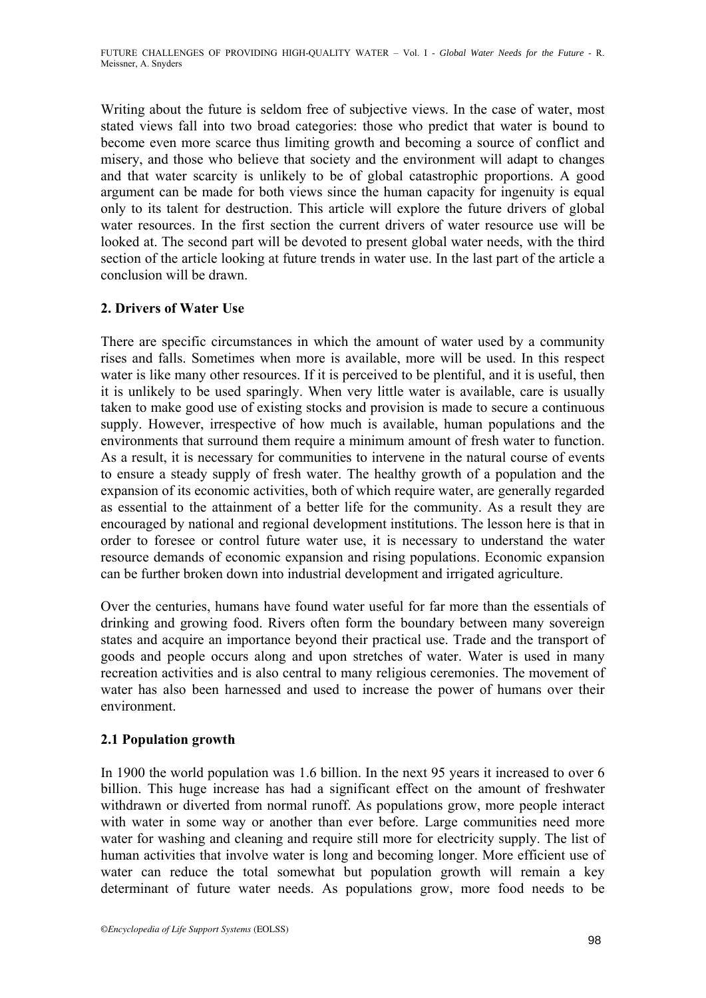Writing about the future is seldom free of subjective views. In the case of water, most stated views fall into two broad categories: those who predict that water is bound to become even more scarce thus limiting growth and becoming a source of conflict and misery, and those who believe that society and the environment will adapt to changes and that water scarcity is unlikely to be of global catastrophic proportions. A good argument can be made for both views since the human capacity for ingenuity is equal only to its talent for destruction. This article will explore the future drivers of global water resources. In the first section the current drivers of water resource use will be looked at. The second part will be devoted to present global water needs, with the third section of the article looking at future trends in water use. In the last part of the article a conclusion will be drawn.

# **2. Drivers of Water Use**

There are specific circumstances in which the amount of water used by a community rises and falls. Sometimes when more is available, more will be used. In this respect water is like many other resources. If it is perceived to be plentiful, and it is useful, then it is unlikely to be used sparingly. When very little water is available, care is usually taken to make good use of existing stocks and provision is made to secure a continuous supply. However, irrespective of how much is available, human populations and the environments that surround them require a minimum amount of fresh water to function. As a result, it is necessary for communities to intervene in the natural course of events to ensure a steady supply of fresh water. The healthy growth of a population and the expansion of its economic activities, both of which require water, are generally regarded as essential to the attainment of a better life for the community. As a result they are encouraged by national and regional development institutions. The lesson here is that in order to foresee or control future water use, it is necessary to understand the water resource demands of economic expansion and rising populations. Economic expansion can be further broken down into industrial development and irrigated agriculture.

Over the centuries, humans have found water useful for far more than the essentials of drinking and growing food. Rivers often form the boundary between many sovereign states and acquire an importance beyond their practical use. Trade and the transport of goods and people occurs along and upon stretches of water. Water is used in many recreation activities and is also central to many religious ceremonies. The movement of water has also been harnessed and used to increase the power of humans over their environment.

# **2.1 Population growth**

In 1900 the world population was 1.6 billion. In the next 95 years it increased to over 6 billion. This huge increase has had a significant effect on the amount of freshwater withdrawn or diverted from normal runoff. As populations grow, more people interact with water in some way or another than ever before. Large communities need more water for washing and cleaning and require still more for electricity supply. The list of human activities that involve water is long and becoming longer. More efficient use of water can reduce the total somewhat but population growth will remain a key determinant of future water needs. As populations grow, more food needs to be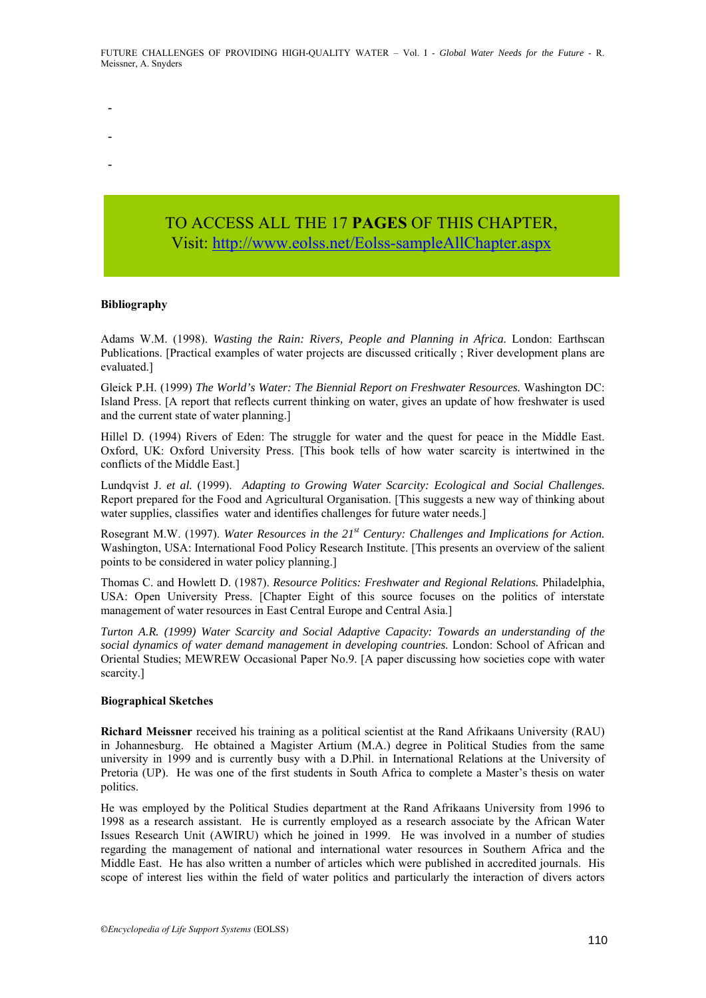- -
- 
- -
- Visi[t: http://www.eolss.net/Eolss-sampleAllChapter.aspx](https://www.eolss.net/ebooklib/sc_cart.aspx?File=E2-25-01-03)

#### **Bibliography**

Adams W.M. (1998). *Wasting the Rain: Rivers, People and Planning in Africa.* London: Earthscan Publications. [Practical examples of water projects are discussed critically ; River development plans are evaluated.]

Gleick P.H. (1999) *The World's Water: The Biennial Report on Freshwater Resources.* Washington DC: Island Press. [A report that reflects current thinking on water, gives an update of how freshwater is used and the current state of water planning.]

Hillel D. (1994) Rivers of Eden: The struggle for water and the quest for peace in the Middle East. Oxford, UK: Oxford University Press. [This book tells of how water scarcity is intertwined in the conflicts of the Middle East.]

Lundqvist J. *et al.* (1999). *Adapting to Growing Water Scarcity: Ecological and Social Challenges.*  Report prepared for the Food and Agricultural Organisation. [This suggests a new way of thinking about water supplies, classifies water and identifies challenges for future water needs.

Rosegrant M.W. (1997). *Water Resources in the 21st Century: Challenges and Implications for Action.*  Washington, USA: International Food Policy Research Institute. [This presents an overview of the salient points to be considered in water policy planning.]

Thomas C. and Howlett D. (1987). *Resource Politics: Freshwater and Regional Relations.* Philadelphia, USA: Open University Press. [Chapter Eight of this source focuses on the politics of interstate management of water resources in East Central Europe and Central Asia.]

*Turton A.R. (1999) Water Scarcity and Social Adaptive Capacity: Towards an understanding of the social dynamics of water demand management in developing countries.* London: School of African and Oriental Studies; MEWREW Occasional Paper No.9. [A paper discussing how societies cope with water scarcity.]

#### **Biographical Sketches**

**Richard Meissner** received his training as a political scientist at the Rand Afrikaans University (RAU) in Johannesburg. He obtained a Magister Artium (M.A.) degree in Political Studies from the same university in 1999 and is currently busy with a D.Phil. in International Relations at the University of Pretoria (UP). He was one of the first students in South Africa to complete a Master's thesis on water politics.

He was employed by the Political Studies department at the Rand Afrikaans University from 1996 to 1998 as a research assistant. He is currently employed as a research associate by the African Water Issues Research Unit (AWIRU) which he joined in 1999. He was involved in a number of studies regarding the management of national and international water resources in Southern Africa and the Middle East. He has also written a number of articles which were published in accredited journals. His scope of interest lies within the field of water politics and particularly the interaction of divers actors **TO ACCESS ALL THE 17 PAGES OF THIS CHAPTER,**<br> **Visit:** http://www.colss.net/Folse-sampleAllChapter.aspx<br>
1998). Worsing the Rain: River, Propide and Panuing in Africa. 11-administration<br>
(1998). Worsing the Rain: River,